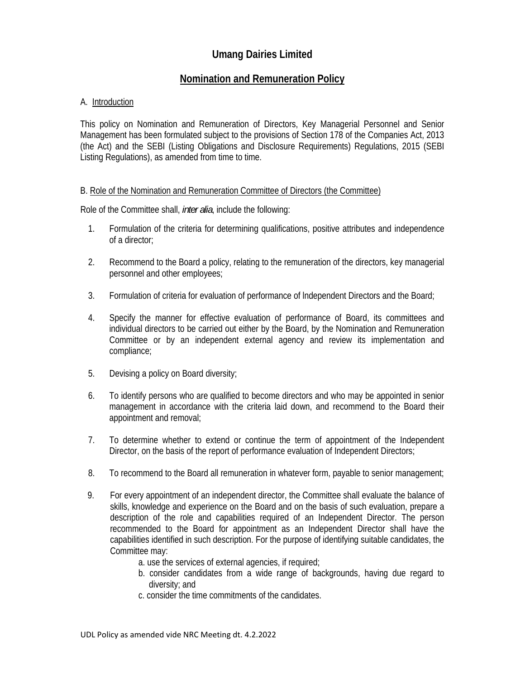# **Umang Dairies Limited**

## **Nomination and Remuneration Policy**

#### A. Introduction

This policy on Nomination and Remuneration of Directors, Key Managerial Personnel and Senior Management has been formulated subject to the provisions of Section 178 of the Companies Act, 2013 (the Act) and the SEBI (Listing Obligations and Disclosure Requirements) Regulations, 2015 (SEBI Listing Regulations), as amended from time to time.

#### B. Role of the Nomination and Remuneration Committee of Directors (the Committee)

Role of the Committee shall, *inter alia*, include the following:

- 1. Formulation of the criteria for determining qualifications, positive attributes and independence of a director;
- 2. Recommend to the Board a policy, relating to the remuneration of the directors, key managerial personnel and other employees;
- 3. Formulation of criteria for evaluation of performance of lndependent Directors and the Board;
- 4. Specify the manner for effective evaluation of performance of Board, its committees and individual directors to be carried out either by the Board, by the Nomination and Remuneration Committee or by an independent external agency and review its implementation and compliance;
- 5. Devising a policy on Board diversity;
- 6. To identify persons who are qualified to become directors and who may be appointed in senior management in accordance with the criteria laid down, and recommend to the Board their appointment and removal;
- 7. To determine whether to extend or continue the term of appointment of the Independent Director, on the basis of the report of performance evaluation of Independent Directors;
- 8. To recommend to the Board all remuneration in whatever form, payable to senior management;
- 9. For every appointment of an independent director, the Committee shall evaluate the balance of skills, knowledge and experience on the Board and on the basis of such evaluation, prepare a description of the role and capabilities required of an Independent Director. The person recommended to the Board for appointment as an Independent Director shall have the capabilities identified in such description. For the purpose of identifying suitable candidates, the Committee may:
	- a. use the services of external agencies, if required;
	- b. consider candidates from a wide range of backgrounds, having due regard to diversity; and
	- c. consider the time commitments of the candidates.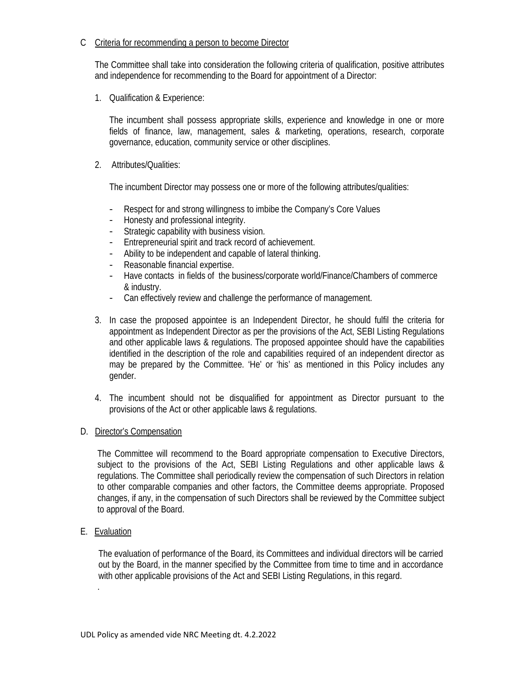#### C Criteria for recommending a person to become Director

The Committee shall take into consideration the following criteria of qualification, positive attributes and independence for recommending to the Board for appointment of a Director:

1. Qualification & Experience:

The incumbent shall possess appropriate skills, experience and knowledge in one or more fields of finance, law, management, sales & marketing, operations, research, corporate governance, education, community service or other disciplines.

2. Attributes/Qualities:

The incumbent Director may possess one or more of the following attributes/qualities:

- Respect for and strong willingness to imbibe the Company's Core Values
- Honesty and professional integrity.
- Strategic capability with business vision.
- Entrepreneurial spirit and track record of achievement.
- Ability to be independent and capable of lateral thinking.
- Reasonable financial expertise.
- Have contacts in fields of the business/corporate world/Finance/Chambers of commerce & industry.
- Can effectively review and challenge the performance of management.
- 3. In case the proposed appointee is an Independent Director, he should fulfil the criteria for appointment as Independent Director as per the provisions of the Act, SEBI Listing Regulations and other applicable laws & regulations. The proposed appointee should have the capabilities identified in the description of the role and capabilities required of an independent director as may be prepared by the Committee. 'He' or 'his' as mentioned in this Policy includes any gender.
- 4. The incumbent should not be disqualified for appointment as Director pursuant to the provisions of the Act or other applicable laws & regulations.

### D. Director's Compensation

The Committee will recommend to the Board appropriate compensation to Executive Directors, subject to the provisions of the Act, SEBI Listing Regulations and other applicable laws & regulations. The Committee shall periodically review the compensation of such Directors in relation to other comparable companies and other factors, the Committee deems appropriate. Proposed changes, if any, in the compensation of such Directors shall be reviewed by the Committee subject to approval of the Board.

E. Evaluation

.

The evaluation of performance of the Board, its Committees and individual directors will be carried out by the Board, in the manner specified by the Committee from time to time and in accordance with other applicable provisions of the Act and SEBI Listing Regulations, in this regard.